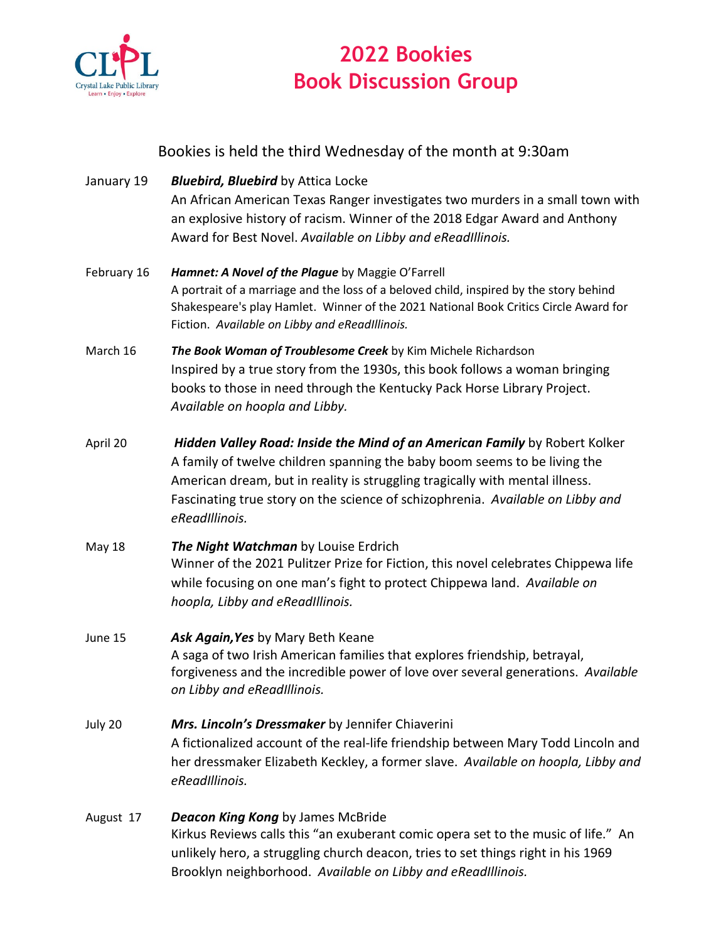

## **2022 Bookies Book Discussion Group**

## Bookies is held the third Wednesday of the month at 9:30am

- January 19 *Bluebird, Bluebird* by Attica Locke An African American Texas Ranger investigates two murders in a small town with an explosive history of racism. Winner of the 2018 Edgar Award and Anthony Award for Best Novel. *Available on Libby and eReadIllinois.*
- February 16 *Hamnet: A Novel of the Plague* by Maggie O'Farrell A portrait of a marriage and the loss of a beloved child, inspired by the story behind Shakespeare's play Hamlet. Winner of the 2021 National Book Critics Circle Award for Fiction. *Available on Libby and eReadIllinois.*
- March 16 *The Book Woman of Troublesome Creek* by Kim Michele Richardson Inspired by a true story from the 1930s, this book follows a woman bringing books to those in need through the Kentucky Pack Horse Library Project. *Available on hoopla and Libby.*
- April 20 *Hidden Valley Road: Inside the Mind of an American Family* by Robert Kolker A family of twelve children spanning the baby boom seems to be living the American dream, but in reality is struggling tragically with mental illness. Fascinating true story on the science of schizophrenia. *Available on Libby and eReadIllinois.*
- May 18 *The Night Watchman* by Louise Erdrich Winner of the 2021 Pulitzer Prize for Fiction, this novel celebrates Chippewa life while focusing on one man's fight to protect Chippewa land. *Available on hoopla, Libby and eReadIllinois.*

## June 15 *Ask Again,Yes* by Mary Beth Keane A saga of two Irish American families that explores friendship, betrayal, forgiveness and the incredible power of love over several generations. *Available on Libby and eReadIllinois.*

- July 20 *Mrs. Lincoln's Dressmaker* by Jennifer Chiaverini A fictionalized account of the real-life friendship between Mary Todd Lincoln and her dressmaker Elizabeth Keckley, a former slave. *Available on hoopla, Libby and eReadIllinois.*
- August 17 *Deacon King Kong* by James McBride Kirkus Reviews calls this "an exuberant comic opera set to the music of life." An unlikely hero, a struggling church deacon, tries to set things right in his 1969 Brooklyn neighborhood. *Available on Libby and eReadIllinois.*